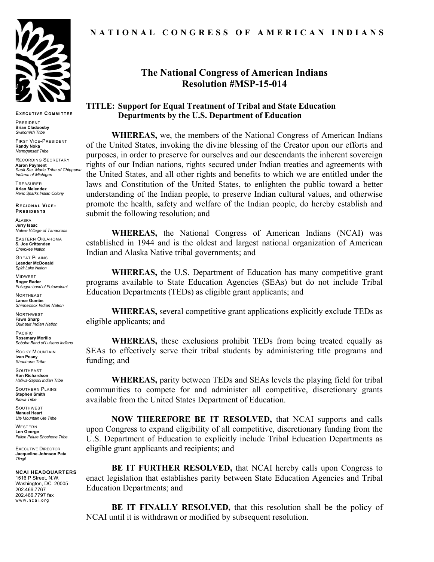

**EXECUTIVE COMMITTEE**

PRESIDENT **Brian Cladoosby** *Swinomish Tribe*

FIRST VICE-PRESIDENT **Randy Noka** *Narragansett Tribe*

RECORDING SECRETARY **Aaron Payment** *Sault Ste. Marie Tribe of Chippewa Indians of Michigan*

TREASURER **Arlan Melendez** *Reno Sparks Indian Colony*

**REGIONAL VICE-PRESIDENTS**

ALASKA **Jerry Isaac** *Native Village of Tanacross*

EASTERN OKLAHOMA **S. Joe Crittenden** *Cherokee Nation*

GREAT PLAINS **Leander McDonald** *Spirit Lake Nation*

MIDWEST **Roger Rader** *Pokagon band of Potawatomi* 

**NORTHEAST Lance Gumbs** *Shinnecock Indian Nation*

NORTHWEST **Fawn Sharp** *Quinault Indian Nation*

PACIFIC **Rosemary Morillo** *Soboba Band of Luiseno Indians*

ROCKY MOUNTAIN **Ivan Posey** *Shoshone Tribe*

**SOUTHEAST Ron Richardson** *Haliwa-Saponi Indian Tribe*

SOUTHERN PLAINS **Stephen Smith** *Kiowa Tribe*

**SOUTHWEST Manuel Heart** *Ute Mountain Ute Tribe*

WESTERN **Len George** *Fallon Paiute Shoshone Tribe*

EXECUTIVE DIRECTOR **Jacqueline Johnson Pata** *Tlingit*

#### **NCAI HEADQUARTERS**

1516 P Street, N.W. Washington, DC 20005 202.466.7767 202.466.7797 fax www.ncai.org

# **NATIONAL CONGRESS OF AMERICAN INDIANS**

# **The National Congress of American Indians Resolution #MSP-15-014**

### **TITLE: Support for Equal Treatment of Tribal and State Education Departments by the U.S. Department of Education**

**WHEREAS,** we, the members of the National Congress of American Indians of the United States, invoking the divine blessing of the Creator upon our efforts and purposes, in order to preserve for ourselves and our descendants the inherent sovereign rights of our Indian nations, rights secured under Indian treaties and agreements with the United States, and all other rights and benefits to which we are entitled under the laws and Constitution of the United States, to enlighten the public toward a better understanding of the Indian people, to preserve Indian cultural values, and otherwise promote the health, safety and welfare of the Indian people, do hereby establish and submit the following resolution; and

**WHEREAS,** the National Congress of American Indians (NCAI) was established in 1944 and is the oldest and largest national organization of American Indian and Alaska Native tribal governments; and

**WHEREAS,** the U.S. Department of Education has many competitive grant programs available to State Education Agencies (SEAs) but do not include Tribal Education Departments (TEDs) as eligible grant applicants; and

**WHEREAS,** several competitive grant applications explicitly exclude TEDs as eligible applicants; and

**WHEREAS,** these exclusions prohibit TEDs from being treated equally as SEAs to effectively serve their tribal students by administering title programs and funding; and

**WHEREAS,** parity between TEDs and SEAs levels the playing field for tribal communities to compete for and administer all competitive, discretionary grants available from the United States Department of Education.

**NOW THEREFORE BE IT RESOLVED,** that NCAI supports and calls upon Congress to expand eligibility of all competitive, discretionary funding from the U.S. Department of Education to explicitly include Tribal Education Departments as eligible grant applicants and recipients; and

**BE IT FURTHER RESOLVED,** that NCAI hereby calls upon Congress to enact legislation that establishes parity between State Education Agencies and Tribal Education Departments; and

**BE IT FINALLY RESOLVED,** that this resolution shall be the policy of NCAI until it is withdrawn or modified by subsequent resolution.